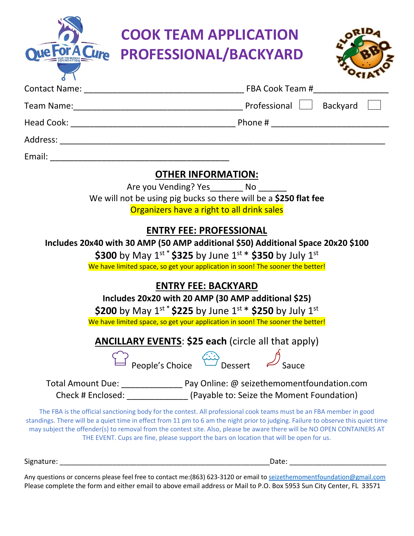|                                                                                                                                                                                                                                                                             | <b>COOK TEAM APPLICATION</b>                                                                                                                                                                                                                                                                                                                                                                                                                                                   |
|-----------------------------------------------------------------------------------------------------------------------------------------------------------------------------------------------------------------------------------------------------------------------------|--------------------------------------------------------------------------------------------------------------------------------------------------------------------------------------------------------------------------------------------------------------------------------------------------------------------------------------------------------------------------------------------------------------------------------------------------------------------------------|
| e For A Cure                                                                                                                                                                                                                                                                | PROFESSIONAL/BACKYARD                                                                                                                                                                                                                                                                                                                                                                                                                                                          |
|                                                                                                                                                                                                                                                                             |                                                                                                                                                                                                                                                                                                                                                                                                                                                                                |
|                                                                                                                                                                                                                                                                             |                                                                                                                                                                                                                                                                                                                                                                                                                                                                                |
|                                                                                                                                                                                                                                                                             |                                                                                                                                                                                                                                                                                                                                                                                                                                                                                |
|                                                                                                                                                                                                                                                                             |                                                                                                                                                                                                                                                                                                                                                                                                                                                                                |
|                                                                                                                                                                                                                                                                             |                                                                                                                                                                                                                                                                                                                                                                                                                                                                                |
|                                                                                                                                                                                                                                                                             | <b>OTHER INFORMATION:</b><br>Are you Vending? Yes _________ No ______<br>We will not be using pig bucks so there will be a \$250 flat fee<br>Organizers have a right to all drink sales                                                                                                                                                                                                                                                                                        |
| <b>ENTRY FEE: PROFESSIONAL</b><br>Includes 20x40 with 30 AMP (50 AMP additional \$50) Additional Space 20x20 \$100<br>\$300 by May $1^{st}$ \$325 by June $1^{st}$ \$350 by July $1^{st}$<br>We have limited space, so get your application in soon! The sooner the better! |                                                                                                                                                                                                                                                                                                                                                                                                                                                                                |
| <b>ENTRY FEE: BACKYARD</b>                                                                                                                                                                                                                                                  |                                                                                                                                                                                                                                                                                                                                                                                                                                                                                |
| Includes 20x20 with 20 AMP (30 AMP additional \$25)<br>\$200 by May $1^{st}$ \$225 by June $1^{st}$ \$250 by July $1^{st}$                                                                                                                                                  |                                                                                                                                                                                                                                                                                                                                                                                                                                                                                |
|                                                                                                                                                                                                                                                                             | We have limited space, so get your application in soon! The sooner the better!                                                                                                                                                                                                                                                                                                                                                                                                 |
|                                                                                                                                                                                                                                                                             | <b>ANCILLARY EVENTS: \$25 each (circle all that apply)</b>                                                                                                                                                                                                                                                                                                                                                                                                                     |
|                                                                                                                                                                                                                                                                             | $\overbrace{\phantom{aa}}^{\curvearrowleft}$ People's Choice $\overbrace{\phantom{aa}}^{\curvearrowleft}$ Dessert $\overbrace{\phantom{aa}}^{\curvearrowleft}$ Sauce                                                                                                                                                                                                                                                                                                           |
|                                                                                                                                                                                                                                                                             | Total Amount Due: ____________________ Pay Online: @ seizethemomentfoundation.com<br>Check # Enclosed: _________________(Payable to: Seize the Moment Foundation)                                                                                                                                                                                                                                                                                                              |
|                                                                                                                                                                                                                                                                             | The FBA is the official sanctioning body for the contest. All professional cook teams must be an FBA member in good<br>standings. There will be a quiet time in effect from 11 pm to 6 am the night prior to judging. Failure to observe this quiet time<br>may subject the offender(s) to removal from the contest site. Also, please be aware there will be NO OPEN CONTAINERS AT<br>THE EVENT. Cups are fine, please support the bars on location that will be open for us. |
|                                                                                                                                                                                                                                                                             |                                                                                                                                                                                                                                                                                                                                                                                                                                                                                |
|                                                                                                                                                                                                                                                                             | Any questions or concerns please feel free to contact me:(863) 623-3120 or email to seizathemomentfoundation@gmail.com                                                                                                                                                                                                                                                                                                                                                         |

Any questions or concerns please feel free to contact me:(863) 623-3120 or email to [seizethemomentfoundation@gmail.com](mailto:seizethemomentfoundation@gmail.com) Please complete the form and either email to above email address or Mail to P.O. Box 5953 Sun City Center, FL 33571